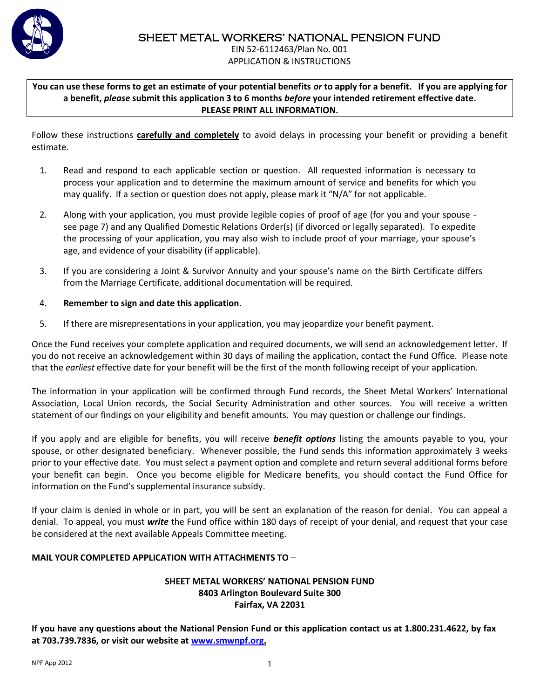

EIN 52-6112463/Plan No. 001 APPLICATION & INSTRUCTIONS

**You can use these forms to get an estimate of your potential benefits** *or* **to apply for a benefit. If you are applying for a benefit,** *please* **submit this application 3 to 6 months** *before* **your intended retirement effective date. PLEASE PRINT ALL INFORMATION.**

Follow these instructions **carefully and completely** to avoid delays in processing your benefit or providing a benefit estimate.

- 1. Read and respond to each applicable section or question. All requested information is necessary to process your application and to determine the maximum amount of service and benefits for which you may qualify. If a section or question does not apply, please mark it "N/A" for not applicable.
- 2. Along with your application, you must provide legible copies of proof of age (for you and your spouse see page 7) and any Qualified Domestic Relations Order(s) (if divorced or legally separated). To expedite the processing of your application, you may also wish to include proof of your marriage, your spouse's age, and evidence of your disability (if applicable).
- 3. If you are considering a Joint & Survivor Annuity and your spouse's name on the Birth Certificate differs from the Marriage Certificate, additional documentation will be required.

## 4. **Remember to sign and date this application**.

5. If there are misrepresentations in your application, you may jeopardize your benefit payment.

Once the Fund receives your complete application and required documents, we will send an acknowledgement letter. If you do not receive an acknowledgement within 30 days of mailing the application, contact the Fund Office. Please note that the *earliest* effective date for your benefit will be the first of the month following receipt of your application.

The information in your application will be confirmed through Fund records, the Sheet Metal Workers' International Association, Local Union records, the Social Security Administration and other sources. You will receive a written statement of our findings on your eligibility and benefit amounts. You may question or challenge our findings.

If you apply and are eligible for benefits, you will receive *benefit options* listing the amounts payable to you, your spouse, or other designated beneficiary. Whenever possible, the Fund sends this information approximately 3 weeks prior to your effective date. You must select a payment option and complete and return several additional forms before your benefit can begin. Once you become eligible for Medicare benefits, you should contact the Fund Office for information on the Fund's supplemental insurance subsidy.

If your claim is denied in whole or in part, you will be sent an explanation of the reason for denial. You can appeal a denial. To appeal, you must *write* the Fund office within 180 days of receipt of your denial, and request that your case be considered at the next available Appeals Committee meeting.

## **MAIL YOUR COMPLETED APPLICATION WITH ATTACHMENTS TO** –

### **SHEET METAL WORKERS' NATIONAL PENSION FUND 8403 Arlington Boulevard Suite 300 Fairfax, VA 22031**

**If you have any questions about the National Pension Fund or this application contact us at 1.800.231.4622, by fax at 703.739.7836, or visit our website at [www.smwnpf.org.](http://www.smwnpf.org/)**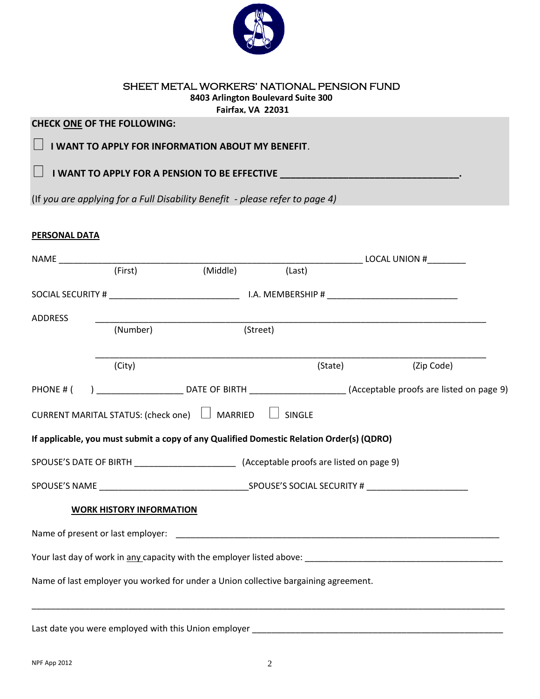

#### SHEET METAL WORKERS' NATIONAL PENSION FUND **8403 Arlington Boulevard Suite 300 Fairfax, VA 22031**

## **CHECK ONE OF THE FOLLOWING:**

**I WANT TO APPLY FOR INFORMATION ABOUT MY BENEFIT.** 

**I WANT TO APPLY FOR A PENSION TO BE EFFECTIVE \_\_\_\_\_\_\_\_\_\_\_\_\_\_\_\_\_\_\_\_\_\_\_\_\_\_\_\_\_\_\_\_\_** 

(If *you are applying for a Full Disability Benefit - please refer to page 4)*

## **PERSONAL DATA**

 $\Box$ 

|                |                                 |                                                                                                                                |               | <b>Example 2018 LOCAL UNION #</b> |            |
|----------------|---------------------------------|--------------------------------------------------------------------------------------------------------------------------------|---------------|-----------------------------------|------------|
|                | (First)                         | (Middle)                                                                                                                       | (Last)        |                                   |            |
|                |                                 |                                                                                                                                |               |                                   |            |
| <b>ADDRESS</b> |                                 |                                                                                                                                |               |                                   |            |
|                | (Number)                        | (Street)                                                                                                                       |               |                                   |            |
|                | (City)                          |                                                                                                                                | (State)       |                                   | (Zip Code) |
|                |                                 | PHONE # () _________________________________DATE OF BIRTH ____________________________(Acceptable proofs are listed on page 9) |               |                                   |            |
|                |                                 | CURRENT MARITAL STATUS: (check one) □ MARRIED                                                                                  | $\Box$ SINGLE |                                   |            |
|                |                                 | If applicable, you must submit a copy of any Qualified Domestic Relation Order(s) (QDRO)                                       |               |                                   |            |
|                |                                 |                                                                                                                                |               |                                   |            |
|                |                                 | SPOUSE'S NAME SPOUSE'S SOCIAL SECURITY #                                                                                       |               |                                   |            |
|                | <b>WORK HISTORY INFORMATION</b> |                                                                                                                                |               |                                   |            |
|                |                                 |                                                                                                                                |               |                                   |            |
|                |                                 |                                                                                                                                |               |                                   |            |
|                |                                 | Name of last employer you worked for under a Union collective bargaining agreement.                                            |               |                                   |            |
|                |                                 | Last date you were employed with this Union employer                                                                           |               |                                   |            |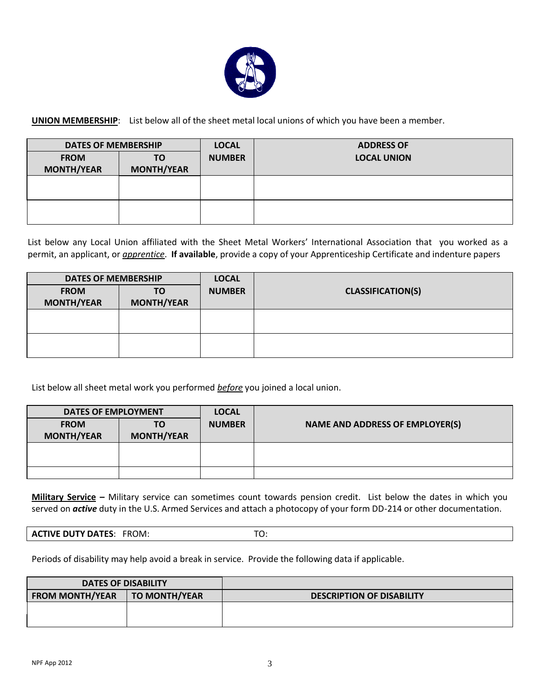

**UNION MEMBERSHIP**: List below all of the sheet metal local unions of which you have been a member.

| <b>DATES OF MEMBERSHIP</b> |                   | <b>LOCAL</b>  | <b>ADDRESS OF</b>  |
|----------------------------|-------------------|---------------|--------------------|
| <b>FROM</b>                | ΤO                | <b>NUMBER</b> | <b>LOCAL UNION</b> |
| <b>MONTH/YEAR</b>          | <b>MONTH/YEAR</b> |               |                    |
|                            |                   |               |                    |
|                            |                   |               |                    |
|                            |                   |               |                    |
|                            |                   |               |                    |
|                            |                   |               |                    |
|                            |                   |               |                    |

List below any Local Union affiliated with the Sheet Metal Workers' International Association that you worked as a permit, an applicant, or *apprentice*. **If available**, provide a copy of your Apprenticeship Certificate and indenture papers

| <b>DATES OF MEMBERSHIP</b> |                                  | <b>LOCAL</b>            |               |                          |
|----------------------------|----------------------------------|-------------------------|---------------|--------------------------|
|                            | <b>FROM</b><br><b>MONTH/YEAR</b> | ΤO<br><b>MONTH/YEAR</b> | <b>NUMBER</b> | <b>CLASSIFICATION(S)</b> |
|                            |                                  |                         |               |                          |
|                            |                                  |                         |               |                          |
|                            |                                  |                         |               |                          |
|                            |                                  |                         |               |                          |
|                            |                                  |                         |               |                          |
|                            |                                  |                         |               |                          |

List below all sheet metal work you performed *before* you joined a local union.

| <b>DATES OF EMPLOYMENT</b> |                   | <b>LOCAL</b>  |                                        |
|----------------------------|-------------------|---------------|----------------------------------------|
| <b>FROM</b>                | TO                | <b>NUMBER</b> | <b>NAME AND ADDRESS OF EMPLOYER(S)</b> |
| <b>MONTH/YEAR</b>          | <b>MONTH/YEAR</b> |               |                                        |
|                            |                   |               |                                        |
|                            |                   |               |                                        |
|                            |                   |               |                                        |
|                            |                   |               |                                        |

**Military Service –** Military service can sometimes count towards pension credit. List below the dates in which you served on *active* duty in the U.S. Armed Services and attach a photocopy of your form DD-214 or other documentation.

| <b>ACTIVE DUTY DATES:</b><br>FROM: | $\ddotsc$ |  |
|------------------------------------|-----------|--|
|------------------------------------|-----------|--|

Periods of disability may help avoid a break in service. Provide the following data if applicable.

| <b>DATES OF DISABILITY</b> |                      |                                  |
|----------------------------|----------------------|----------------------------------|
| <b>FROM MONTH/YEAR</b>     | <b>TO MONTH/YEAR</b> | <b>DESCRIPTION OF DISABILITY</b> |
|                            |                      |                                  |
|                            |                      |                                  |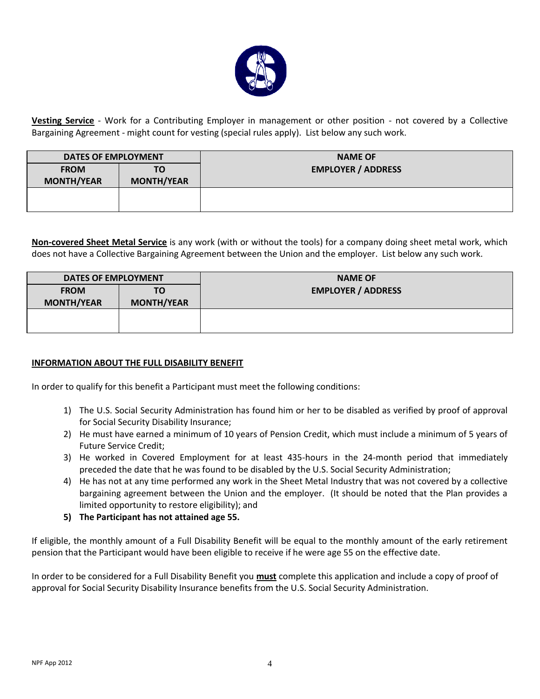

**Vesting Service** - Work for a Contributing Employer in management or other position - not covered by a Collective Bargaining Agreement - might count for vesting (special rules apply). List below any such work.

| DATES OF EMPLOYMENT                                         |  | <b>NAME OF</b>            |  |
|-------------------------------------------------------------|--|---------------------------|--|
| <b>FROM</b><br>ΤО<br><b>MONTH/YEAR</b><br><b>MONTH/YEAR</b> |  | <b>EMPLOYER / ADDRESS</b> |  |
|                                                             |  |                           |  |

**Non-covered Sheet Metal Service** is any work (with or without the tools) for a company doing sheet metal work, which does not have a Collective Bargaining Agreement between the Union and the employer. List below any such work.

| <b>DATES OF EMPLOYMENT</b>       |                         | <b>NAME OF</b>            |
|----------------------------------|-------------------------|---------------------------|
| <b>FROM</b><br><b>MONTH/YEAR</b> | ΤO<br><b>MONTH/YEAR</b> | <b>EMPLOYER / ADDRESS</b> |
|                                  |                         |                           |

#### **INFORMATION ABOUT THE FULL DISABILITY BENEFIT**

In order to qualify for this benefit a Participant must meet the following conditions:

- 1) The U.S. Social Security Administration has found him or her to be disabled as verified by proof of approval for Social Security Disability Insurance;
- 2) He must have earned a minimum of 10 years of Pension Credit, which must include a minimum of 5 years of Future Service Credit;
- 3) He worked in Covered Employment for at least 435-hours in the 24-month period that immediately preceded the date that he was found to be disabled by the U.S. Social Security Administration;
- 4) He has not at any time performed any work in the Sheet Metal Industry that was not covered by a collective bargaining agreement between the Union and the employer. (It should be noted that the Plan provides a limited opportunity to restore eligibility); and
- **5) The Participant has not attained age 55.**

If eligible, the monthly amount of a Full Disability Benefit will be equal to the monthly amount of the early retirement pension that the Participant would have been eligible to receive if he were age 55 on the effective date.

In order to be considered for a Full Disability Benefit you **must** complete this application and include a copy of proof of approval for Social Security Disability Insurance benefits from the U.S. Social Security Administration.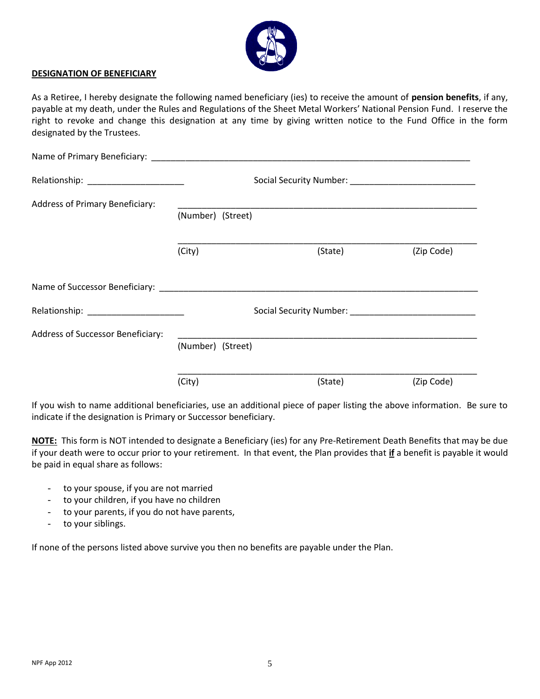

#### **DESIGNATION OF BENEFICIARY**

As a Retiree, I hereby designate the following named beneficiary (ies) to receive the amount of **pension benefits**, if any, payable at my death, under the Rules and Regulations of the Sheet Metal Workers' National Pension Fund. I reserve the right to revoke and change this designation at any time by giving written notice to the Fund Office in the form designated by the Trustees.

| Name of Primary Beneficiary: Name of Primary Beneficiary: |                   |         |            |  |  |
|-----------------------------------------------------------|-------------------|---------|------------|--|--|
|                                                           |                   |         |            |  |  |
| Address of Primary Beneficiary:                           | (Number) (Street) |         |            |  |  |
|                                                           | (City)            | (State) | (Zip Code) |  |  |
|                                                           |                   |         |            |  |  |
|                                                           |                   |         |            |  |  |
| Address of Successor Beneficiary:                         | (Number) (Street) |         |            |  |  |
|                                                           | (City)            | (State) | (Zip Code) |  |  |

If you wish to name additional beneficiaries, use an additional piece of paper listing the above information. Be sure to indicate if the designation is Primary or Successor beneficiary.

**NOTE:** This form is NOT intended to designate a Beneficiary (ies) for any Pre-Retirement Death Benefits that may be due if your death were to occur prior to your retirement. In that event, the Plan provides that **if** a benefit is payable it would be paid in equal share as follows:

- to your spouse, if you are not married
- to your children, if you have no children
- to your parents, if you do not have parents,
- to your siblings.

If none of the persons listed above survive you then no benefits are payable under the Plan.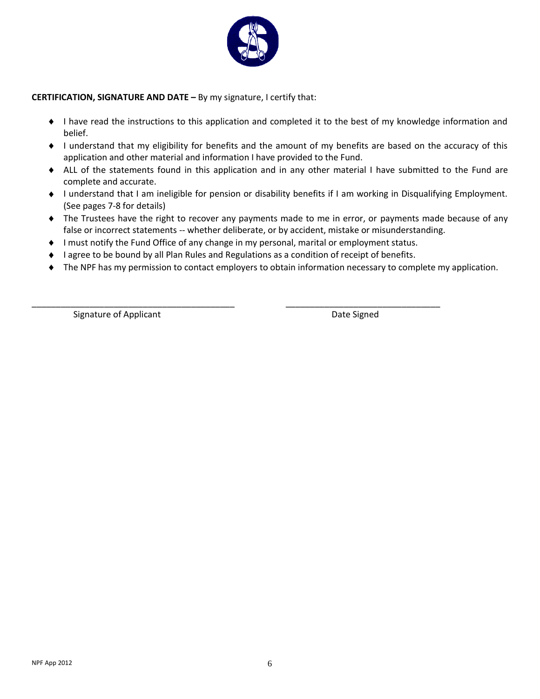

#### **CERTIFICATION, SIGNATURE AND DATE –** By my signature, I certify that:

- I have read the instructions to this application and completed it to the best of my knowledge information and belief.
- I understand that my eligibility for benefits and the amount of my benefits are based on the accuracy of this application and other material and information I have provided to the Fund.
- ALL of the statements found in this application and in any other material I have submitted to the Fund are complete and accurate.
- I understand that I am ineligible for pension or disability benefits if I am working in Disqualifying Employment. (See pages 7-8 for details)
- The Trustees have the right to recover any payments made to me in error, or payments made because of any false or incorrect statements -- whether deliberate, or by accident, mistake or misunderstanding.
- I must notify the Fund Office of any change in my personal, marital or employment status.
- ♦ I agree to be bound by all Plan Rules and Regulations as a condition of receipt of benefits.

\_\_\_\_\_\_\_\_\_\_\_\_\_\_\_\_\_\_\_\_\_\_\_\_\_\_\_\_\_\_\_\_\_\_\_\_\_\_\_\_\_\_ \_\_\_\_\_\_\_\_\_\_\_\_\_\_\_\_\_\_\_\_\_\_\_\_\_\_\_\_\_\_\_\_

The NPF has my permission to contact employers to obtain information necessary to complete my application.

Signature of Applicant **Date Signed** Date Signed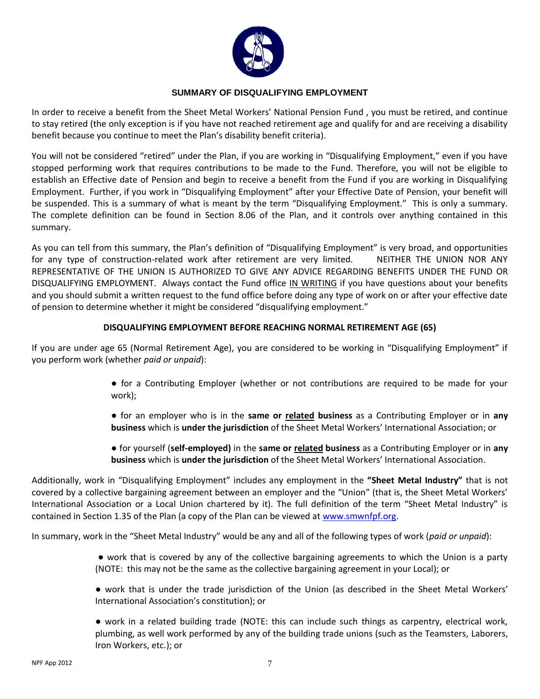

#### **SUMMARY OF DISQUALIFYING EMPLOYMENT**

In order to receive a benefit from the Sheet Metal Workers' National Pension Fund , you must be retired, and continue to stay retired (the only exception is if you have not reached retirement age and qualify for and are receiving a disability benefit because you continue to meet the Plan's disability benefit criteria).

You will not be considered "retired" under the Plan, if you are working in "Disqualifying Employment," even if you have stopped performing work that requires contributions to be made to the Fund. Therefore, you will not be eligible to establish an Effective date of Pension and begin to receive a benefit from the Fund if you are working in Disqualifying Employment. Further, if you work in "Disqualifying Employment" after your Effective Date of Pension, your benefit will be suspended. This is a summary of what is meant by the term "Disqualifying Employment." This is only a summary. The complete definition can be found in Section 8.06 of the Plan, and it controls over anything contained in this summary.

As you can tell from this summary, the Plan's definition of "Disqualifying Employment" is very broad, and opportunities for any type of construction-related work after retirement are very limited. NEITHER THE UNION NOR ANY REPRESENTATIVE OF THE UNION IS AUTHORIZED TO GIVE ANY ADVICE REGARDING BENEFITS UNDER THE FUND OR DISQUALIFYING EMPLOYMENT. Always contact the Fund office IN WRITING if you have questions about your benefits and you should submit a written request to the fund office before doing any type of work on or after your effective date of pension to determine whether it might be considered "disqualifying employment."

#### **DISQUALIFYING EMPLOYMENT BEFORE REACHING NORMAL RETIREMENT AGE (65)**

If you are under age 65 (Normal Retirement Age), you are considered to be working in "Disqualifying Employment" if you perform work (whether *paid or unpaid*):

- for a Contributing Employer (whether or not contributions are required to be made for your work);
- for an employer who is in the **same or related business** as a Contributing Employer or in **any business** which is **under the jurisdiction** of the Sheet Metal Workers' International Association; or
- for yourself (**self-employed)** in the **same or related business** as a Contributing Employer or in **any business** which is **under the jurisdiction** of the Sheet Metal Workers' International Association.

Additionally, work in "Disqualifying Employment" includes any employment in the **"Sheet Metal Industry"** that is not covered by a collective bargaining agreement between an employer and the "Union" (that is, the Sheet Metal Workers' International Association or a Local Union chartered by it). The full definition of the term "Sheet Metal Industry" is contained in Section 1.35 of the Plan (a copy of the Plan can be viewed at [www.smwnfpf.org.](http://www.smwnfpf.org/)

In summary, work in the "Sheet Metal Industry" would be any and all of the following types of work (*paid or unpaid*):

- work that is covered by any of the collective bargaining agreements to which the Union is a party (NOTE: this may not be the same as the collective bargaining agreement in your Local); or
- work that is under the trade jurisdiction of the Union (as described in the Sheet Metal Workers' International Association's constitution); or
- work in a related building trade (NOTE: this can include such things as carpentry, electrical work, plumbing, as well work performed by any of the building trade unions (such as the Teamsters, Laborers, Iron Workers, etc.); or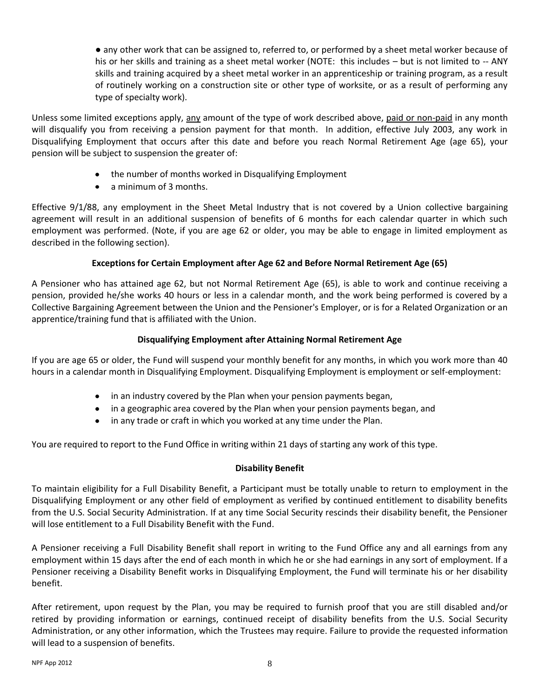● any other work that can be assigned to, referred to, or performed by a sheet metal worker because of his or her skills and training as a sheet metal worker (NOTE: this includes – but is not limited to -- ANY skills and training acquired by a sheet metal worker in an apprenticeship or training program, as a result of routinely working on a construction site or other type of worksite, or as a result of performing any type of specialty work).

Unless some limited exceptions apply, any amount of the type of work described above, paid or non-paid in any month will disqualify you from receiving a pension payment for that month. In addition, effective July 2003, any work in Disqualifying Employment that occurs after this date and before you reach Normal Retirement Age (age 65), your pension will be subject to suspension the greater of:

- the number of months worked in Disqualifying Employment
- a minimum of 3 months.

Effective 9/1/88, any employment in the Sheet Metal Industry that is not covered by a Union collective bargaining agreement will result in an additional suspension of benefits of 6 months for each calendar quarter in which such employment was performed. (Note, if you are age 62 or older, you may be able to engage in limited employment as described in the following section).

## **Exceptions for Certain Employment after Age 62 and Before Normal Retirement Age (65)**

A Pensioner who has attained age 62, but not Normal Retirement Age (65), is able to work and continue receiving a pension, provided he/she works 40 hours or less in a calendar month, and the work being performed is covered by a Collective Bargaining Agreement between the Union and the Pensioner's Employer, or is for a Related Organization or an apprentice/training fund that is affiliated with the Union.

## **Disqualifying Employment after Attaining Normal Retirement Age**

If you are age 65 or older, the Fund will suspend your monthly benefit for any months, in which you work more than 40 hours in a calendar month in Disqualifying Employment. Disqualifying Employment is employment or self-employment:

- in an industry covered by the Plan when your pension payments began,
- in a geographic area covered by the Plan when your pension payments began, and
- in any trade or craft in which you worked at any time under the Plan.

You are required to report to the Fund Office in writing within 21 days of starting any work of this type.

## **Disability Benefit**

To maintain eligibility for a Full Disability Benefit, a Participant must be totally unable to return to employment in the Disqualifying Employment or any other field of employment as verified by continued entitlement to disability benefits from the U.S. Social Security Administration. If at any time Social Security rescinds their disability benefit, the Pensioner will lose entitlement to a Full Disability Benefit with the Fund.

A Pensioner receiving a Full Disability Benefit shall report in writing to the Fund Office any and all earnings from any employment within 15 days after the end of each month in which he or she had earnings in any sort of employment. If a Pensioner receiving a Disability Benefit works in Disqualifying Employment, the Fund will terminate his or her disability benefit.

After retirement, upon request by the Plan, you may be required to furnish proof that you are still disabled and/or retired by providing information or earnings, continued receipt of disability benefits from the U.S. Social Security Administration, or any other information, which the Trustees may require. Failure to provide the requested information will lead to a suspension of benefits.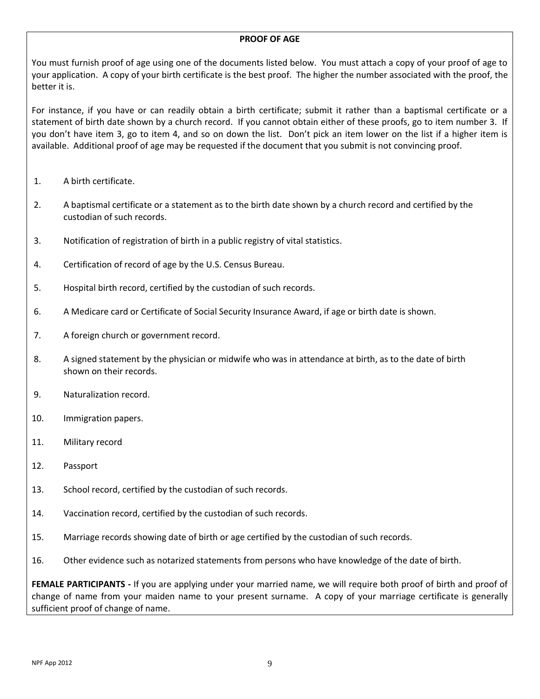#### **PROOF OF AGE**

You must furnish proof of age using one of the documents listed below. You must attach a copy of your proof of age to your application. A copy of your birth certificate is the best proof. The higher the number associated with the proof, the better it is.

For instance, if you have or can readily obtain a birth certificate; submit it rather than a baptismal certificate or a statement of birth date shown by a church record. If you cannot obtain either of these proofs, go to item number 3. If you don't have item 3, go to item 4, and so on down the list. Don't pick an item lower on the list if a higher item is available. Additional proof of age may be requested if the document that you submit is not convincing proof.

- 1. A birth certificate.
- 2. A baptismal certificate or a statement as to the birth date shown by a church record and certified by the custodian of such records.
- 3. Notification of registration of birth in a public registry of vital statistics.
- 4. Certification of record of age by the U.S. Census Bureau.
- 5. Hospital birth record, certified by the custodian of such records.
- 6. A Medicare card or Certificate of Social Security Insurance Award, if age or birth date is shown.
- 7. A foreign church or government record.
- 8. A signed statement by the physician or midwife who was in attendance at birth, as to the date of birth shown on their records.
- 9. Naturalization record.
- 10. Immigration papers.
- 11. Military record
- 12. Passport
- 13. School record, certified by the custodian of such records.
- 14. Vaccination record, certified by the custodian of such records.
- 15. Marriage records showing date of birth or age certified by the custodian of such records.
- 16. Other evidence such as notarized statements from persons who have knowledge of the date of birth.

**FEMALE PARTICIPANTS -** If you are applying under your married name, we will require both proof of birth and proof of change of name from your maiden name to your present surname. A copy of your marriage certificate is generally sufficient proof of change of name.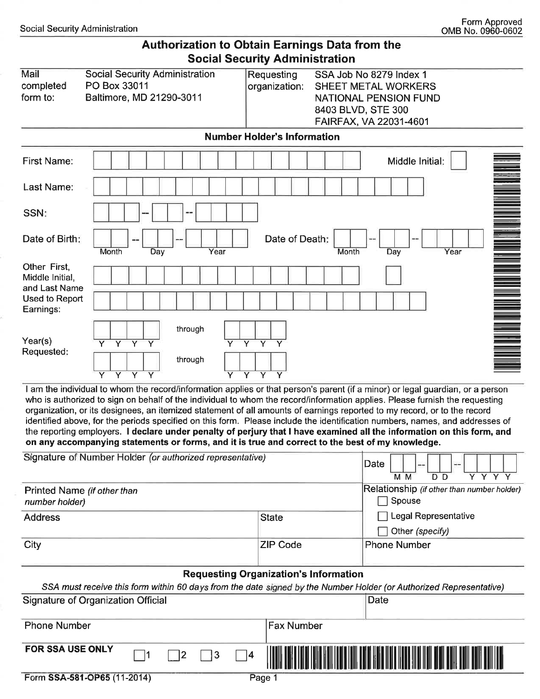| <b>Authorization to Obtain Earnings Data from the</b> |  |
|-------------------------------------------------------|--|
| <b>Social Security Administration</b>                 |  |

| Mail<br>completed<br>form to:                                                   | <b>Social Security Administration</b><br>PO Box 33011<br>Baltimore, MD 21290-3011                                                                                                                                                                                 | SSA Job No 8279 Index 1<br>Requesting<br>organization:<br>SHEET METAL WORKERS<br><b>NATIONAL PENSION FUND</b><br>8403 BLVD, STE 300<br>FAIRFAX, VA 22031-4601 |
|---------------------------------------------------------------------------------|-------------------------------------------------------------------------------------------------------------------------------------------------------------------------------------------------------------------------------------------------------------------|---------------------------------------------------------------------------------------------------------------------------------------------------------------|
|                                                                                 |                                                                                                                                                                                                                                                                   | <b>Number Holder's Information</b>                                                                                                                            |
| <b>First Name:</b>                                                              |                                                                                                                                                                                                                                                                   | Middle Initial:                                                                                                                                               |
| Last Name:                                                                      |                                                                                                                                                                                                                                                                   |                                                                                                                                                               |
| SSN:                                                                            |                                                                                                                                                                                                                                                                   |                                                                                                                                                               |
| Date of Birth:                                                                  | Month<br>Day<br>Year                                                                                                                                                                                                                                              | Date of Death:<br>Year<br>Month<br>Day                                                                                                                        |
| Other First,<br>Middle Initial,<br>and Last Name<br>Used to Report<br>Earnings: |                                                                                                                                                                                                                                                                   |                                                                                                                                                               |
| Year(s)<br>Requested:                                                           | through<br>$Y$ $Y$ $Y$<br>$\overline{Y}$<br>$\overline{Y}$ $\overline{Y}$<br>$\overline{\mathsf{v}}$<br>$\overline{Y}$<br>through<br>$\overline{Y}$<br>$\overline{Y}$<br>$\overline{\mathsf{Y}}$<br>$\overline{Y}$ $\overline{Y}$<br>$\overline{\mathsf{Y}}$<br>Ÿ | $\overline{\mathsf{Y}}$                                                                                                                                       |

I am the individual to whom the record/information applies or that person's parent (if a minor) or legal guardian, or a person who is authorized to sign on behalf of the individual to whom the record/information applies. Please furnish the requesting organization, or its designees, an itemized statement of all amounts of earnings reported to my record, or to the record identified above, for the periods specified on this form. Please include the identification numbers, names, and addresses of the reporting employers. I declare under penalty of perjury that I have examined all the information on this form, and on any accompanying statements or forms, and it is true and correct to the best of my knowledge.

| Signature of Number Holder (or authorized representative) |                                                                                                                                                                    | Date<br>--                                                                                          |
|-----------------------------------------------------------|--------------------------------------------------------------------------------------------------------------------------------------------------------------------|-----------------------------------------------------------------------------------------------------|
| Printed Name (if other than<br>number holder)             |                                                                                                                                                                    | Y Y Y Y<br>M <sub>M</sub><br>D <sub>D</sub><br>Relationship (if other than number holder)<br>Spouse |
| <b>Address</b>                                            | <b>State</b>                                                                                                                                                       | Legal Representative<br>Other (specify)                                                             |
| City                                                      | <b>ZIP Code</b>                                                                                                                                                    | <b>Phone Number</b>                                                                                 |
|                                                           | <b>Requesting Organization's Information</b><br>SSA must receive this form within 60 days from the date signed by the Number Holder (or Authorized Representative) |                                                                                                     |
| Signature of Organization Official                        |                                                                                                                                                                    | Date                                                                                                |
| <b>Phone Number</b>                                       | <b>Fax Number</b>                                                                                                                                                  |                                                                                                     |
| <b>FOR SSA USE ONLY</b>                                   | 14                                                                                                                                                                 |                                                                                                     |